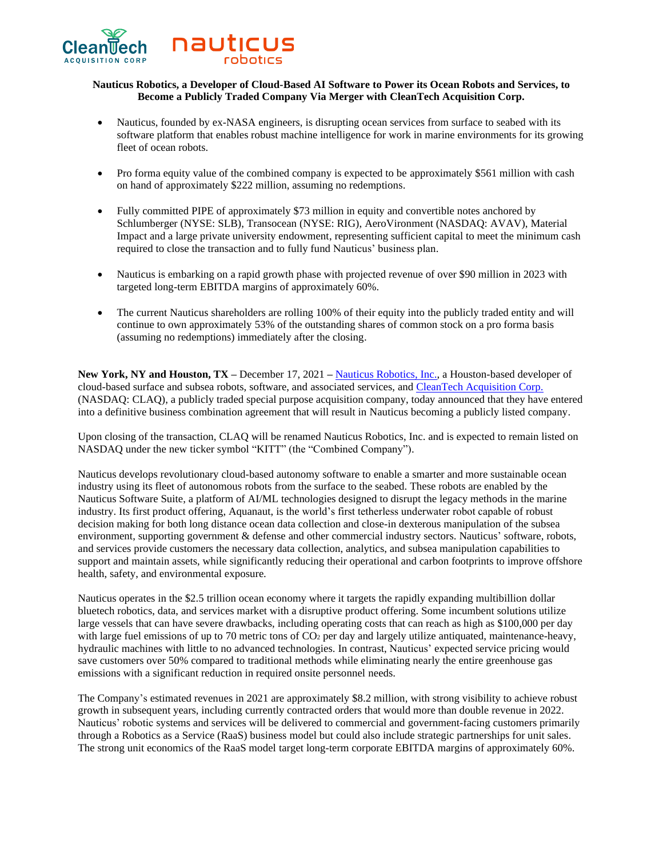

# **Nauticus Robotics, a Developer of Cloud-Based AI Software to Power its Ocean Robots and Services, to Become a Publicly Traded Company Via Merger with CleanTech Acquisition Corp.**

- Nauticus, founded by ex-NASA engineers, is disrupting ocean services from surface to seabed with its software platform that enables robust machine intelligence for work in marine environments for its growing fleet of ocean robots.
- Pro forma equity value of the combined company is expected to be approximately \$561 million with cash on hand of approximately \$222 million, assuming no redemptions.
- Fully committed PIPE of approximately \$73 million in equity and convertible notes anchored by Schlumberger (NYSE: SLB), Transocean (NYSE: RIG), AeroVironment (NASDAQ: AVAV), Material Impact and a large private university endowment, representing sufficient capital to meet the minimum cash required to close the transaction and to fully fund Nauticus' business plan.
- Nauticus is embarking on a rapid growth phase with projected revenue of over \$90 million in 2023 with targeted long-term EBITDA margins of approximately 60%.
- The current Nauticus shareholders are rolling 100% of their equity into the publicly traded entity and will continue to own approximately 53% of the outstanding shares of common stock on a pro forma basis (assuming no redemptions) immediately after the closing.

**New York, NY and Houston, TX –** December 17, 2021 **–** [Nauticus Robotics, Inc.,](https://nauticusrobotics.com/) a Houston-based developer of cloud-based surface and subsea robots, software, and associated services, and [CleanTech Acquisition Corp.](https://www.cleantechac.com/) (NASDAQ: CLAQ), a publicly traded special purpose acquisition company, today announced that they have entered into a definitive business combination agreement that will result in Nauticus becoming a publicly listed company.

Upon closing of the transaction, CLAQ will be renamed Nauticus Robotics, Inc. and is expected to remain listed on NASDAQ under the new ticker symbol "KITT" (the "Combined Company").

Nauticus develops revolutionary cloud-based autonomy software to enable a smarter and more sustainable ocean industry using its fleet of autonomous robots from the surface to the seabed. These robots are enabled by the Nauticus Software Suite, a platform of AI/ML technologies designed to disrupt the legacy methods in the marine industry. Its first product offering, Aquanaut, is the world's first tetherless underwater robot capable of robust decision making for both long distance ocean data collection and close-in dexterous manipulation of the subsea environment, supporting government & defense and other commercial industry sectors. Nauticus' software, robots, and services provide customers the necessary data collection, analytics, and subsea manipulation capabilities to support and maintain assets, while significantly reducing their operational and carbon footprints to improve offshore health, safety, and environmental exposure.

Nauticus operates in the \$2.5 trillion ocean economy where it targets the rapidly expanding multibillion dollar bluetech robotics, data, and services market with a disruptive product offering. Some incumbent solutions utilize large vessels that can have severe drawbacks, including operating costs that can reach as high as \$100,000 per day with large fuel emissions of up to 70 metric tons of CO<sub>2</sub> per day and largely utilize antiquated, maintenance-heavy, hydraulic machines with little to no advanced technologies. In contrast, Nauticus' expected service pricing would save customers over 50% compared to traditional methods while eliminating nearly the entire greenhouse gas emissions with a significant reduction in required onsite personnel needs.

The Company's estimated revenues in 2021 are approximately \$8.2 million, with strong visibility to achieve robust growth in subsequent years, including currently contracted orders that would more than double revenue in 2022. Nauticus' robotic systems and services will be delivered to commercial and government-facing customers primarily through a Robotics as a Service (RaaS) business model but could also include strategic partnerships for unit sales. The strong unit economics of the RaaS model target long-term corporate EBITDA margins of approximately 60%.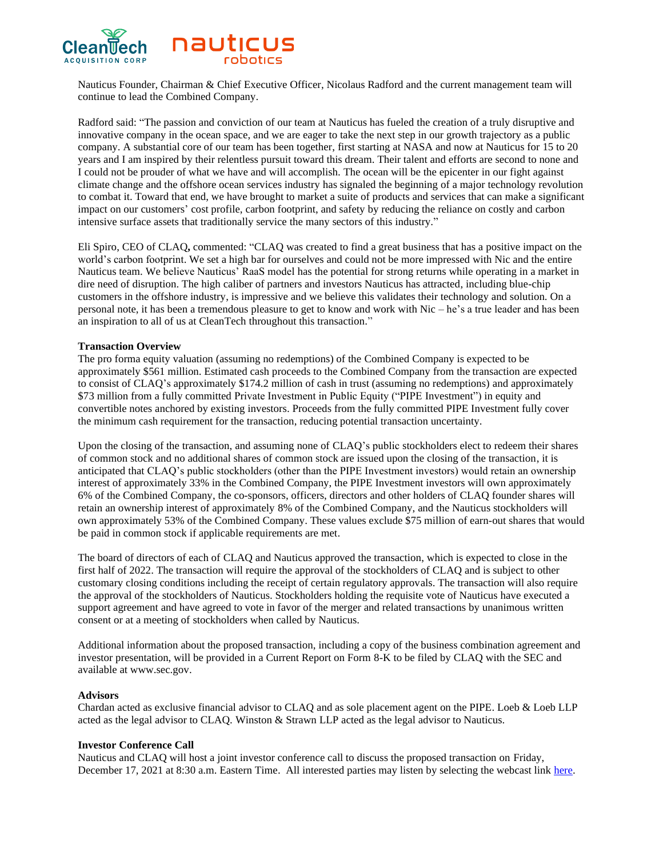

Nauticus Founder, Chairman & Chief Executive Officer, Nicolaus Radford and the current management team will continue to lead the Combined Company.

Radford said: "The passion and conviction of our team at Nauticus has fueled the creation of a truly disruptive and innovative company in the ocean space, and we are eager to take the next step in our growth trajectory as a public company. A substantial core of our team has been together, first starting at NASA and now at Nauticus for 15 to 20 years and I am inspired by their relentless pursuit toward this dream. Their talent and efforts are second to none and I could not be prouder of what we have and will accomplish. The ocean will be the epicenter in our fight against climate change and the offshore ocean services industry has signaled the beginning of a major technology revolution to combat it. Toward that end, we have brought to market a suite of products and services that can make a significant impact on our customers' cost profile, carbon footprint, and safety by reducing the reliance on costly and carbon intensive surface assets that traditionally service the many sectors of this industry."

Eli Spiro, CEO of CLAQ**,** commented: "CLAQ was created to find a great business that has a positive impact on the world's carbon footprint. We set a high bar for ourselves and could not be more impressed with Nic and the entire Nauticus team. We believe Nauticus' RaaS model has the potential for strong returns while operating in a market in dire need of disruption. The high caliber of partners and investors Nauticus has attracted, including blue-chip customers in the offshore industry, is impressive and we believe this validates their technology and solution. On a personal note, it has been a tremendous pleasure to get to know and work with Nic – he's a true leader and has been an inspiration to all of us at CleanTech throughout this transaction."

## **Transaction Overview**

The pro forma equity valuation (assuming no redemptions) of the Combined Company is expected to be approximately \$561 million. Estimated cash proceeds to the Combined Company from the transaction are expected to consist of CLAQ's approximately \$174.2 million of cash in trust (assuming no redemptions) and approximately \$73 million from a fully committed Private Investment in Public Equity ("PIPE Investment") in equity and convertible notes anchored by existing investors. Proceeds from the fully committed PIPE Investment fully cover the minimum cash requirement for the transaction, reducing potential transaction uncertainty.

Upon the closing of the transaction, and assuming none of CLAQ's public stockholders elect to redeem their shares of common stock and no additional shares of common stock are issued upon the closing of the transaction, it is anticipated that CLAQ's public stockholders (other than the PIPE Investment investors) would retain an ownership interest of approximately 33% in the Combined Company, the PIPE Investment investors will own approximately 6% of the Combined Company, the co-sponsors, officers, directors and other holders of CLAQ founder shares will retain an ownership interest of approximately 8% of the Combined Company, and the Nauticus stockholders will own approximately 53% of the Combined Company. These values exclude \$75 million of earn-out shares that would be paid in common stock if applicable requirements are met.

The board of directors of each of CLAQ and Nauticus approved the transaction, which is expected to close in the first half of 2022. The transaction will require the approval of the stockholders of CLAQ and is subject to other customary closing conditions including the receipt of certain regulatory approvals. The transaction will also require the approval of the stockholders of Nauticus. Stockholders holding the requisite vote of Nauticus have executed a support agreement and have agreed to vote in favor of the merger and related transactions by unanimous written consent or at a meeting of stockholders when called by Nauticus.

Additional information about the proposed transaction, including a copy of the business combination agreement and investor presentation, will be provided in a Current Report on Form 8-K to be filed by CLAQ with the SEC and available at www.sec.gov.

# **Advisors**

Chardan acted as exclusive financial advisor to CLAQ and as sole placement agent on the PIPE. Loeb & Loeb LLP acted as the legal advisor to CLAQ. Winston & Strawn LLP acted as the legal advisor to Nauticus.

## **Investor Conference Call**

Nauticus and CLAQ will host a joint investor conference call to discuss the proposed transaction on Friday, December 17, 2021 at 8:30 a.m. Eastern Time. All interested parties may listen by selecting the webcast link [here.](https://edge.media-server.com/mmc/p/46uhj2w6)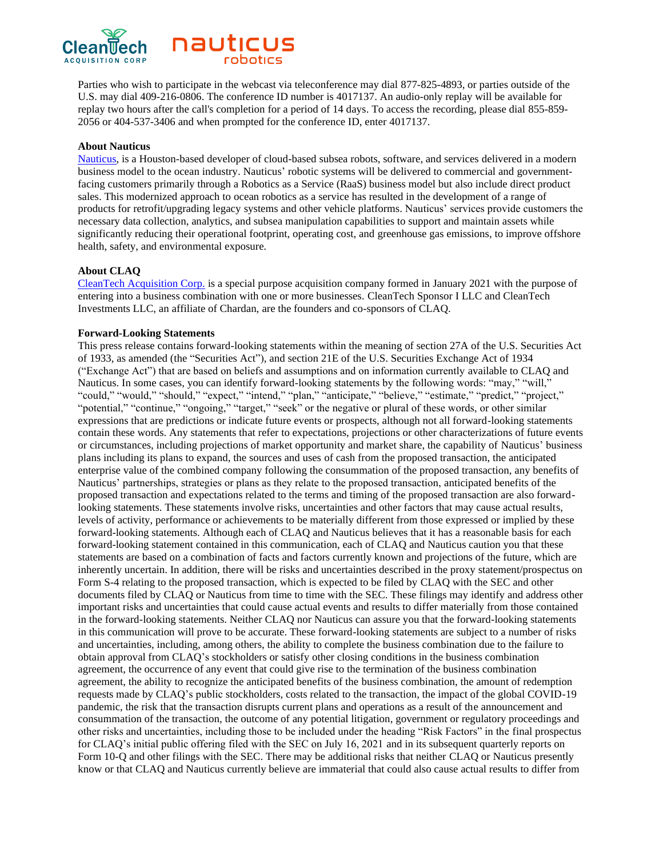

Parties who wish to participate in the webcast via teleconference may dial 877-825-4893, or parties outside of the U.S. may dial 409-216-0806. The conference ID number is 4017137. An audio-only replay will be available for replay two hours after the call's completion for a period of 14 days. To access the recording, please dial 855-859- 2056 or 404-537-3406 and when prompted for the conference ID, enter 4017137.

#### **About Nauticus**

[Nauticus,](https://nauticusrobotics.com/) is a Houston-based developer of cloud-based subsea robots, software, and services delivered in a modern business model to the ocean industry. Nauticus' robotic systems will be delivered to commercial and governmentfacing customers primarily through a Robotics as a Service (RaaS) business model but also include direct product sales. This modernized approach to ocean robotics as a service has resulted in the development of a range of products for retrofit/upgrading legacy systems and other vehicle platforms. Nauticus' services provide customers the necessary data collection, analytics, and subsea manipulation capabilities to support and maintain assets while significantly reducing their operational footprint, operating cost, and greenhouse gas emissions, to improve offshore health, safety, and environmental exposure.

#### **About CLAQ**

[CleanTech Acquisition Corp.](https://www.cleantechac.com/) is a special purpose acquisition company formed in January 2021 with the purpose of entering into a business combination with one or more businesses. CleanTech Sponsor I LLC and CleanTech Investments LLC, an affiliate of Chardan, are the founders and co-sponsors of CLAQ.

#### **Forward-Looking Statements**

This press release contains forward-looking statements within the meaning of section 27A of the U.S. Securities Act of 1933, as amended (the "Securities Act"), and section 21E of the U.S. Securities Exchange Act of 1934 ("Exchange Act") that are based on beliefs and assumptions and on information currently available to CLAQ and Nauticus. In some cases, you can identify forward-looking statements by the following words: "may," "will," "could," "would," "should," "expect," "intend," "plan," "anticipate," "believe," "estimate," "predict," "project," "potential," "continue," "ongoing," "target," "seek" or the negative or plural of these words, or other similar expressions that are predictions or indicate future events or prospects, although not all forward-looking statements contain these words. Any statements that refer to expectations, projections or other characterizations of future events or circumstances, including projections of market opportunity and market share, the capability of Nauticus' business plans including its plans to expand, the sources and uses of cash from the proposed transaction, the anticipated enterprise value of the combined company following the consummation of the proposed transaction, any benefits of Nauticus' partnerships, strategies or plans as they relate to the proposed transaction, anticipated benefits of the proposed transaction and expectations related to the terms and timing of the proposed transaction are also forwardlooking statements. These statements involve risks, uncertainties and other factors that may cause actual results, levels of activity, performance or achievements to be materially different from those expressed or implied by these forward-looking statements. Although each of CLAQ and Nauticus believes that it has a reasonable basis for each forward-looking statement contained in this communication, each of CLAQ and Nauticus caution you that these statements are based on a combination of facts and factors currently known and projections of the future, which are inherently uncertain. In addition, there will be risks and uncertainties described in the proxy statement/prospectus on Form S-4 relating to the proposed transaction, which is expected to be filed by CLAQ with the SEC and other documents filed by CLAQ or Nauticus from time to time with the SEC. These filings may identify and address other important risks and uncertainties that could cause actual events and results to differ materially from those contained in the forward-looking statements. Neither CLAQ nor Nauticus can assure you that the forward-looking statements in this communication will prove to be accurate. These forward-looking statements are subject to a number of risks and uncertainties, including, among others, the ability to complete the business combination due to the failure to obtain approval from CLAQ's stockholders or satisfy other closing conditions in the business combination agreement, the occurrence of any event that could give rise to the termination of the business combination agreement, the ability to recognize the anticipated benefits of the business combination, the amount of redemption requests made by CLAQ's public stockholders, costs related to the transaction, the impact of the global COVID-19 pandemic, the risk that the transaction disrupts current plans and operations as a result of the announcement and consummation of the transaction, the outcome of any potential litigation, government or regulatory proceedings and other risks and uncertainties, including those to be included under the heading "Risk Factors" in the final prospectus for CLAQ's initial public offering filed with the SEC on July 16, 2021 and in its subsequent quarterly reports on Form 10-Q and other filings with the SEC. There may be additional risks that neither CLAQ or Nauticus presently know or that CLAQ and Nauticus currently believe are immaterial that could also cause actual results to differ from